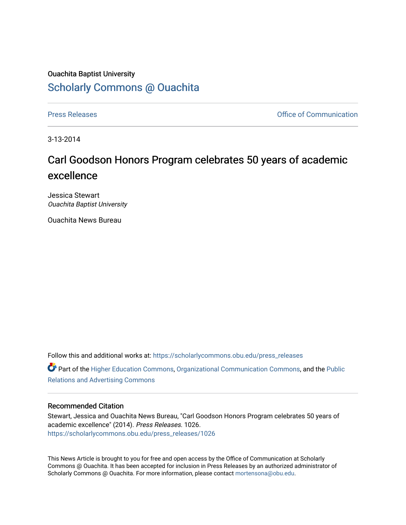## Ouachita Baptist University [Scholarly Commons @ Ouachita](https://scholarlycommons.obu.edu/)

[Press Releases](https://scholarlycommons.obu.edu/press_releases) **Press Releases Communication** 

3-13-2014

## Carl Goodson Honors Program celebrates 50 years of academic excellence

Jessica Stewart Ouachita Baptist University

Ouachita News Bureau

Follow this and additional works at: [https://scholarlycommons.obu.edu/press\\_releases](https://scholarlycommons.obu.edu/press_releases?utm_source=scholarlycommons.obu.edu%2Fpress_releases%2F1026&utm_medium=PDF&utm_campaign=PDFCoverPages)

Part of the [Higher Education Commons,](http://network.bepress.com/hgg/discipline/1245?utm_source=scholarlycommons.obu.edu%2Fpress_releases%2F1026&utm_medium=PDF&utm_campaign=PDFCoverPages) [Organizational Communication Commons,](http://network.bepress.com/hgg/discipline/335?utm_source=scholarlycommons.obu.edu%2Fpress_releases%2F1026&utm_medium=PDF&utm_campaign=PDFCoverPages) and the [Public](http://network.bepress.com/hgg/discipline/336?utm_source=scholarlycommons.obu.edu%2Fpress_releases%2F1026&utm_medium=PDF&utm_campaign=PDFCoverPages) [Relations and Advertising Commons](http://network.bepress.com/hgg/discipline/336?utm_source=scholarlycommons.obu.edu%2Fpress_releases%2F1026&utm_medium=PDF&utm_campaign=PDFCoverPages) 

## Recommended Citation

Stewart, Jessica and Ouachita News Bureau, "Carl Goodson Honors Program celebrates 50 years of academic excellence" (2014). Press Releases. 1026. [https://scholarlycommons.obu.edu/press\\_releases/1026](https://scholarlycommons.obu.edu/press_releases/1026?utm_source=scholarlycommons.obu.edu%2Fpress_releases%2F1026&utm_medium=PDF&utm_campaign=PDFCoverPages) 

This News Article is brought to you for free and open access by the Office of Communication at Scholarly Commons @ Ouachita. It has been accepted for inclusion in Press Releases by an authorized administrator of Scholarly Commons @ Ouachita. For more information, please contact [mortensona@obu.edu](mailto:mortensona@obu.edu).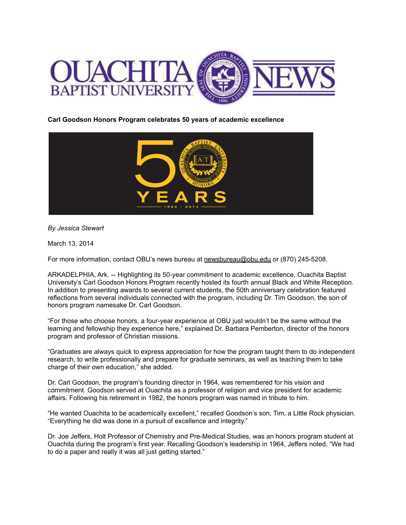

**Carl Goodson Honors Program celebrates 50 years of academic excellence**



*By Jessica Stewart*

March 13, 2014

For more information, contact OBU's news bureau at [newsbureau@obu.edu](mailto:newsbureau@obu.edu) or (870) 245-5208.

ARKADELPHIA, Ark. -- Highlighting its 50-year commitment to academic excellence, Ouachita Baptist University's Carl Goodson Honors Program recently hosted its fourth annual Black and White Reception. In addition to presenting awards to several current students, the 50th anniversary celebration featured reflections from several individuals connected with the program, including Dr. Tim Goodson, the son of honors program namesake Dr. Carl Goodson.

"For those who choose honors, a four-year experience at OBU just wouldn't be the same without the learning and fellowship they experience here," explained Dr. Barbara Pemberton, director of the honors program and professor of Christian missions.

"Graduates are always quick to express appreciation for how the program taught them to do independent research, to write professionally and prepare for graduate seminars, as well as teaching them to take charge of their own education," she added.

Dr. Carl Goodson, the program's founding director in 1964, was remembered for his vision and commitment. Goodson served at Ouachita as a professor of religion and vice president for academic affairs. Following his retirement in 1982, the honors program was named in tribute to him.

"He wanted Ouachita to be academically excellent," recalled Goodson's son, Tim, a Little Rock physician. "Everything he did was done in a pursuit of excellence and integrity."

Dr. Joe Jeffers, Holt Professor of Chemistry and Pre-Medical Studies, was an honors program student at Ouachita during the program's first year. Recalling Goodson's leadership in 1964, Jeffers noted, "We had to do a paper and really it was all just getting started."